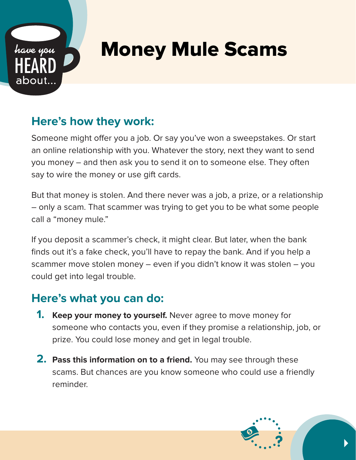

## Money Mule Scams

## **Here's how they work:**

Someone might offer you a job. Or say you've won a sweepstakes. Or start an online relationship with you. Whatever the story, next they want to send you money – and then ask you to send it on to someone else. They often say to wire the money or use gift cards.

But that money is stolen. And there never was a job, a prize, or a relationship – only a scam. That scammer was trying to get you to be what some people call a "money mule."

If you deposit a scammer's check, it might clear. But later, when the bank finds out it's a fake check, you'll have to repay the bank. And if you help a scammer move stolen money – even if you didn't know it was stolen – you could get into legal trouble.

## **Here's what you can do:**

- **1. Keep your money to yourself.** Never agree to move money for someone who contacts you, even if they promise a relationship, job, or prize. You could lose money and get in legal trouble.
- **2. Pass this information on to a friend.** You may see through these scams. But chances are you know someone who could use a friendly reminder.